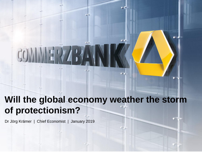# **Will the global economy weather the storm of protectionism?**

**G**-13

Dr Jörg Krämer | Chief Economist | January 2019

GM-C | Brand Management | Frankfurt am Main/April 2018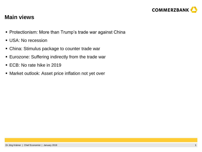

#### **Main views**

- Protectionism: More than Trump's trade war against China
- USA: No recession
- China: Stimulus package to counter trade war
- **Eurozone: Suffering indirectly from the trade war**
- ECB: No rate hike in 2019
- Market outlook: Asset price inflation not yet over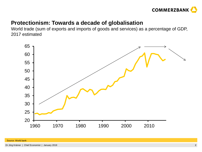

### **Protectionism: Towards a decade of globalisation**

World trade (sum of exports and imports of goods and services) as a percentage of GDP, 2017 estimated

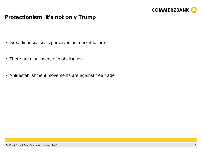

# **Protectionism: It's not only Trump**

- Great financial crisis perceived as market failure
- There are also losers of globalisation
- Anti-establishment movements are against free trade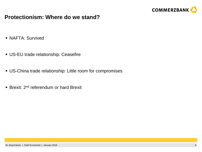

### **Protectionism: Where do we stand?**

- NAFTA: Survived
- US-EU trade relationship: Ceasefire
- US-China trade relationship: Little room for compromises
- **Brexit: 2<sup>nd</sup> referendum or hard Brexit**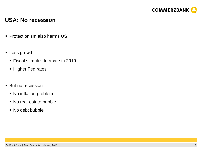

#### **USA: No recession**

- Protectionism also harms US
- **-** Less growth
	- Fiscal stimulus to abate in 2019
	- **Higher Fed rates**
- **But no recession** 
	- No inflation problem
	- No real-estate bubble
	- No debt bubble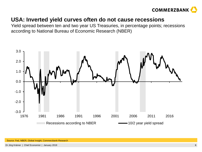

### **USA: Inverted yield curves often do not cause recessions**

Yield spread between ten and two year US Treasuries, in percentage points; recessions according to National Bureau of Economic Research (NBER)

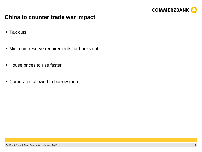

### **China to counter trade war impact**

- Tax cuts
- Minimum reserve requirements for banks cut
- House prices to rise faster
- **EX Corporates allowed to borrow more**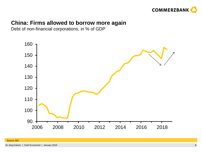

### **China: Firms allowed to borrow more again**

Debt of non-financial corporations, in % of GDP

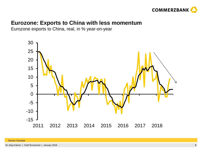

### **Eurozone: Exports to China with less momentum**

Eurozone exports to China, real, in % year-on-year

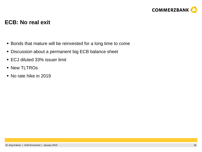

#### **ECB: No real exit**

- **Bonds that mature will be reinvested for a long time to come**
- **Discussion about a permanent big ECB balance sheet**
- ECJ diluted 33% issuer limit
- **New TLTROs**
- No rate hike in 2019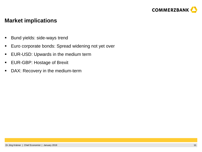

#### **Market implications**

- **Bund yields: side-ways trend**
- **Euro corporate bonds: Spread widening not yet over**
- **EUR-USD: Upwards in the medium term**
- **EUR-GBP: Hostage of Brexit**
- **DAX: Recovery in the medium-term**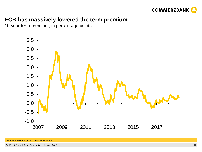

# **ECB has massively lowered the term premium**

10-year term premium, in percentage points



Dr Jörg Krämer | Chief Economist | January 2019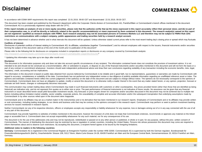# **Disclaimer**



In accordance with ESMA MAR requirements this report was completed 22.01.2019, 09:00 CET and disseminated 22.01.2019, 09:30 CET.

This document has been created and published by the Research department within the Corporate Clients division of Commerzbank AG, Frankfurt/Main or Commerzbank's branch offices mentioned in the document. Commerzbank AG is a provisionally registered swap dealer with the CFTC.

If this report includes an analysis of one or more equity securities, please note that the author(s) certify that (a) the views expressed in this report accurately reflect their personal views; and (b) no part of **their compensation was, is, or will be directly or indirectly related to the specific recommendation(s) or views expressed by them contained in this document. The research analyst(s) named on this report are not registered / qualified as research analysts with FINRA. Such research analyst(s) may not be associated persons of Commerz Markets LLC and therefore may not be subject to FINRA Rule 2241 restrictions on communications with a subject company, public appearances and trading securities held by a research analyst account.**

It has not been determined in advance whether and in what intervals this document will be updated. Unless otherwise stated current prices refer to the most recent trading day's closing price or spread which may fluctuate.

#### **Conflicts of interest:**

Disclosures of potential conflicts of interest relating to Commerzbank AG, its affiliates, subsidiaries (together "Commerzbank") and its relevant employees with respect to the issuers, financial instruments and/or securiti forming the subject of this document valid as of the end of the month prior to publication of this document<sup>\*</sup>:

Please refer to the following link for disclosures on companies included in compendium reports or disclosures on any company covered by Commerzbank analysts:

<http://research.commerzbank.com/web/commerzbank-research-portal/public-page/disclosures>\*

\* Updating this information may take up to ten days after month end.

#### **Disclaimer**

This document is for information purposes only and does not take into account specific circumstances of any recipient. The information contained herein does not constitute the provision of investment advice. It is not intended to be and should not be construed as a recommendation, offer or solicitation to acquire, or dispose of, any of the financial instruments and/or securities mentioned in this document and will not form the basis or part of any contract or commitment whatsoever. Investors should seek independent professional advice and draw their own conclusions regarding suitability of any transaction including the economic benefits, risks, legal, regulatory, credit, accounting and tax implications.

The information in this document is based on public data obtained from sources believed by Commerzbank to be reliable and in good faith, but no representations, guarantees or warranties are made by Commerzbank with regard to accuracy, completeness or suitability of the data. Commerzbank has not performed any independent review or due diligence of publicly available information regarding an unaffiliated reference asset or index. The opinions and estimates contained herein reflect the current judgement of the author(s) on the date of this document and are subject to change without notice. The opinions do not necessarily correspond to the opinions of Commerzbank. Commerzbank does not have an obligation to update, modify or amend this document or to otherwise notify a reader thereof in the event that any matter stated herein, or any opinion, projection, forecast or estimate set forth herein, changes or subsequently becomes inaccurate.

This communication may contain trading ideas where Commerzbank may trade in such financial instruments with customers or other counterparties. Any prices provided herein (other than those that are identified as being historical) are indicative only, and do not represent firm quotes as to either size or price. The past performance of financial instruments is not indicative of future results. No assurance can be given that any financial instrument or issuer described herein would yield favourable investment results. Any forecasts or price targets shown for companies and/or securities discussed in this document may not be achieved due to multiple risk factors including without limitation market volatility, sector volatility, corporate actions, the unavailability of complete and accurate information and/or the subsequent transpiration that underlying assumptions made by Commerzbank or by other sources relied upon in the document were inapposite.

Commerzbank and or its affiliates may act as a market maker in the instrument(s) and or its derivative that has been mentioned in our research reports. Employees of Commerzbank and or its affiliates may provide written or oral commentary, including trading strategies, to our clients and business units that may be contrary to the opinions conveyed in this research report. Commerzbank may perform or seek to perform investment banking services for issuers mentioned in research reports.

Neither Commerzbank nor any of its respective directors, officers or employees accepts any responsibility or liability whatsoever for any expense, loss or damages arising out of or in any way connected with the use of all or any part of this document.

Commerzbank may provide hyperlinks to websites of entities mentioned in this document, however the inclusion of a link does not imply that Commerzbank endorses, recommends or approves any material on the linked page or accessible from it. Commerzbank does not accept responsibility whatsoever for any such material, nor for any consequences of its use.

This document is for the use of the addressees only and may not be reproduced, redistributed or passed on to any other person or published, in whole or in part, for any purpose, without the prior, written consent of Commerzbank. The manner of distributing this document may be restricted by law or regulation in certain countries, including the United States. Persons into whose possession this document may come are required to inform themselves about and to observe such restrictions. By accepting this document, a recipient hereof agrees to be bound by the foregoing limitations.

#### **Additional notes to readers in the following countries:**

Germany: Commerzbank AG is registered in the Commercial Register at Amtsgericht Frankfurt under the number HRB 32000. Commerzbank AG is supervised by both the German regulator, Bundesanstalt für Finanzdienstleistungsaufsicht (BaFin), Graurheindorfer Strasse 108, 53117 Bonn, Marie-Curie-Strasse 24-28, 60439 Frankfurt am Main and the European Central Bank, Sonnemannstrasse 20, 60314 Frankfurt am Main, Germany.